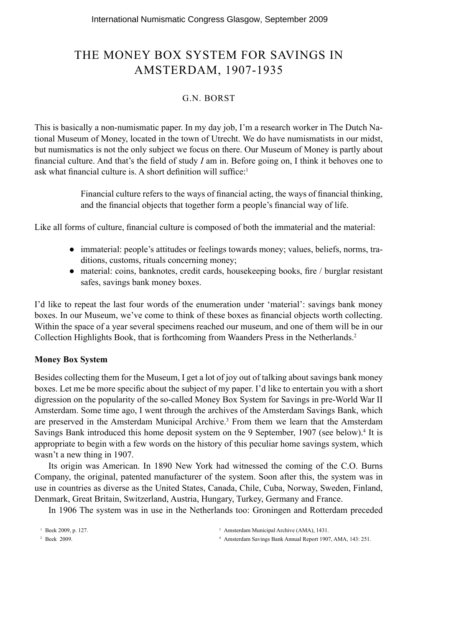## THE MONEY BOX SYSTEM FOR SAVINGS IN AMSTERDAM, 1907-1935

### G.N. BORST

This is basically a non-numismatic paper. In my day job, I'm a research worker in The Dutch National Museum of Money, located in the town of Utrecht. We do have numismatists in our midst, but numismatics is not the only subject we focus on there. Our Museum of Money is partly about financial culture. And that's the field of study  $I$  am in. Before going on, I think it behoves one to ask what financial culture is. A short definition will suffice: $1$ 

> Financial culture refers to the ways of financial acting, the ways of financial thinking, and the financial objects that together form a people's financial way of life.

Like all forms of culture, financial culture is composed of both the immaterial and the material:

- immaterial: people's attitudes or feelings towards money; values, beliefs, norms, traditions, customs, rituals concerning money;
- material: coins, banknotes, credit cards, housekeeping books, fire / burglar resistant safes, savings bank money boxes.

I'd like to repeat the last four words of the enumeration under 'material': savings bank money boxes. In our Museum, we've come to think of these boxes as financial objects worth collecting. Within the space of a year several specimens reached our museum, and one of them will be in our Collection Highlights Book, that is forthcoming from Waanders Press in the Netherlands.2

#### **Money Box System**

Besides collecting them for the Museum, I get a lot of joy out of talking about savings bank money boxes. Let me be more specific about the subject of my paper. I'd like to entertain you with a short digression on the popularity of the so-called Money Box System for Savings in pre-World War II Amsterdam. Some time ago, I went through the archives of the Amsterdam Savings Bank, which are preserved in the Amsterdam Municipal Archive.<sup>3</sup> From them we learn that the Amsterdam Savings Bank introduced this home deposit system on the 9 September, 1907 (see below).<sup>4</sup> It is appropriate to begin with a few words on the history of this peculiar home savings system, which wasn't a new thing in 1907.

Its origin was American. In 1890 New York had witnessed the coming of the C.O. Burns Company, the original, patented manufacturer of the system. Soon after this, the system was in use in countries as diverse as the United States, Canada, Chile, Cuba, Norway, Sweden, Finland, Denmark, Great Britain, Switzerland, Austria, Hungary, Turkey, Germany and France.

In 1906 The system was in use in the Netherlands too: Groningen and Rotterdam preceded

1 Beek 2009, p. 127.

4 Amsterdam Savings Bank Annual Report 1907, AMA, 143: 251.

2 Beek 2009.

<sup>&</sup>lt;sup>3</sup> Amsterdam Municipal Archive (AMA), 1431.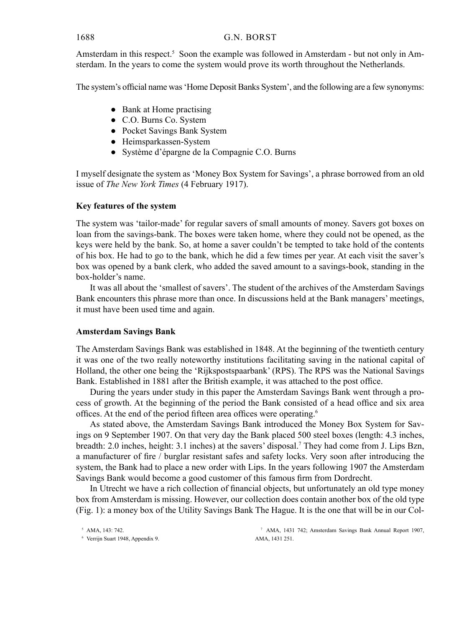#### 1688 G.N. BORST

Amsterdam in this respect.<sup>5</sup> Soon the example was followed in Amsterdam - but not only in Amsterdam. In the years to come the system would prove its worth throughout the Netherlands.

The system's official name was 'Home Deposit Banks System', and the following are a few synonyms:

- Bank at Home practising
- C.O. Burns Co. System
- Pocket Savings Bank System
- Heimsparkassen-System
- Système d'épargne de la Compagnie C.O. Burns

I myself designate the system as 'Money Box System for Savings', a phrase borrowed from an old issue of *The New York Times* (4 February 1917).

#### **Key features of the system**

The system was 'tailor-made' for regular savers of small amounts of money. Savers got boxes on loan from the savings-bank. The boxes were taken home, where they could not be opened, as the keys were held by the bank. So, at home a saver couldn't be tempted to take hold of the contents of his box. He had to go to the bank, which he did a few times per year. At each visit the saver's box was opened by a bank clerk, who added the saved amount to a savings-book, standing in the box-holder's name.

It was all about the 'smallest of savers'. The student of the archives of the Amsterdam Savings Bank encounters this phrase more than once. In discussions held at the Bank managers' meetings, it must have been used time and again.

#### **Amsterdam Savings Bank**

The Amsterdam Savings Bank was established in 1848. At the beginning of the twentieth century it was one of the two really noteworthy institutions facilitating saving in the national capital of Holland, the other one being the 'Rijkspostspaarbank' (RPS). The RPS was the National Savings Bank. Established in 1881 after the British example, it was attached to the post office.

During the years under study in this paper the Amsterdam Savings Bank went through a process of growth. At the beginning of the period the Bank consisted of a head office and six area offices. At the end of the period fifteen area offices were operating.<sup>6</sup>

As stated above, the Amsterdam Savings Bank introduced the Money Box System for Savings on 9 September 1907. On that very day the Bank placed 500 steel boxes (length: 4.3 inches, breadth: 2.0 inches, height: 3.1 inches) at the savers' disposal.7 They had come from J. Lips Bzn, a manufacturer of fire / burglar resistant safes and safety locks. Very soon after introducing the system, the Bank had to place a new order with Lips. In the years following 1907 the Amsterdam Savings Bank would become a good customer of this famous firm from Dordrecht.

In Utrecht we have a rich collection of financial objects, but unfortunately an old type money box from Amsterdam is missing. However, our collection does contain another box of the old type (Fig. 1): a money box of the Utility Savings Bank The Hague. It is the one that will be in our Col-

7 AMA, 1431 742; Amsterdam Savings Bank Annual Report 1907, AMA, 1431 251.

<sup>5</sup> AMA, 143: 742.

<sup>6</sup> Verrijn Suart 1948, Appendix 9.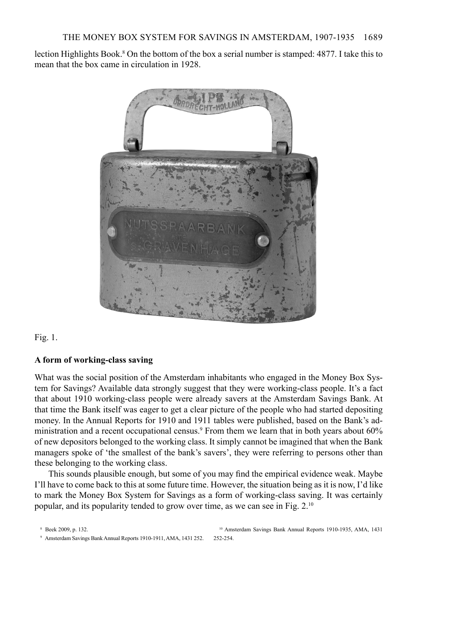lection Highlights Book.<sup>8</sup> On the bottom of the box a serial number is stamped: 4877. I take this to mean that the box came in circulation in 1928.



Fig. 1.

#### **A form of working-class saving**

What was the social position of the Amsterdam inhabitants who engaged in the Money Box System for Savings? Available data strongly suggest that they were working-class people. It's a fact that about 1910 working-class people were already savers at the Amsterdam Savings Bank. At that time the Bank itself was eager to get a clear picture of the people who had started depositing money. In the Annual Reports for 1910 and 1911 tables were published, based on the Bank's administration and a recent occupational census.<sup>9</sup> From them we learn that in both years about 60% of new depositors belonged to the working class. It simply cannot be imagined that when the Bank managers spoke of 'the smallest of the bank's savers', they were referring to persons other than these belonging to the working class.

This sounds plausible enough, but some of you may find the empirical evidence weak. Maybe I'll have to come back to this at some future time. However, the situation being as it is now, I'd like to mark the Money Box System for Savings as a form of working-class saving. It was certainly popular, and its popularity tended to grow over time, as we can see in Fig. 2.10

<sup>8</sup> Beek 2009, p. 132.

<sup>10</sup> Amsterdam Savings Bank Annual Reports 1910-1935, AMA, 1431 252-254.

<sup>9</sup> Amsterdam Savings Bank Annual Reports 1910-1911, AMA, 1431 252.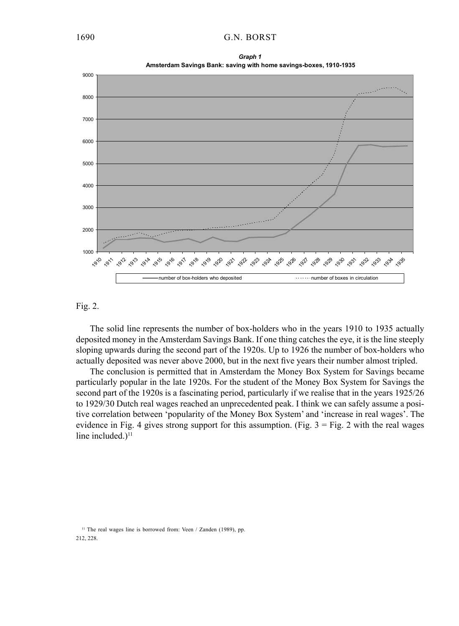



#### Fig. 2.

The solid line represents the number of box-holders who in the years 1910 to 1935 actually deposited money in the Amsterdam Savings Bank. If one thing catches the eye, it is the line steeply sloping upwards during the second part of the 1920s. Up to 1926 the number of box-holders who actually deposited was never above 2000, but in the next five years their number almost tripled.

The conclusion is permitted that in Amsterdam the Money Box System for Savings became particularly popular in the late 1920s. For the student of the Money Box System for Savings the second part of the 1920s is a fascinating period, particularly if we realise that in the years 1925/26 to 1929/30 Dutch real wages reached an unprecedented peak. I think we can safely assume a positive correlation between 'popularity of the Money Box System' and 'increase in real wages'. The evidence in Fig. 4 gives strong support for this assumption. (Fig.  $3 =$  Fig. 2 with the real wages line included.) $<sup>11</sup>$ </sup>

<sup>11</sup> The real wages line is borrowed from: Veen / Zanden (1989), pp. 212, 228.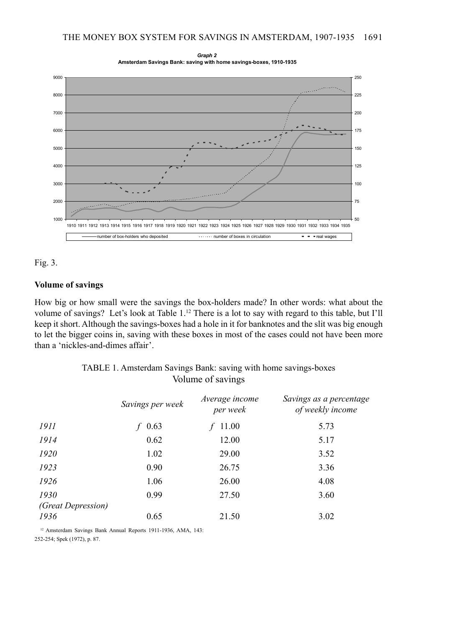



#### Fig. 3.

#### **Volume of savings**

How big or how small were the savings the box-holders made? In other words: what about the volume of savings? Let's look at Table 1.12 There is a lot to say with regard to this table, but I'll keep it short. Although the savings-boxes had a hole in it for banknotes and the slit was big enough to let the bigger coins in, saving with these boxes in most of the cases could not have been more than a 'nickles-and-dimes affair'.

> TABLE 1. Amsterdam Savings Bank: saving with home savings-boxes Volume of savings

|                           | Savings per week | Average income<br>per week | Savings as a percentage<br>of weekly income |
|---------------------------|------------------|----------------------------|---------------------------------------------|
| <i>1911</i>               | 0.63             | 11.00                      | 5.73                                        |
| 1914                      | 0.62             | 12.00                      | 5.17                                        |
| 1920                      | 1.02             | 29.00                      | 3.52                                        |
| 1923                      | 0.90             | 26.75                      | 3.36                                        |
| 1926                      | 1.06             | 26.00                      | 4.08                                        |
| 1930                      | 0.99             | 27.50                      | 3.60                                        |
| <i>(Great Depression)</i> |                  |                            |                                             |
| 1936                      | 0.65             | 21.50                      | 3.02                                        |

<sup>12</sup> Amsterdam Savings Bank Annual Reports 1911-1936, AMA, 143: 252-254; Spek (1972), p. 87.